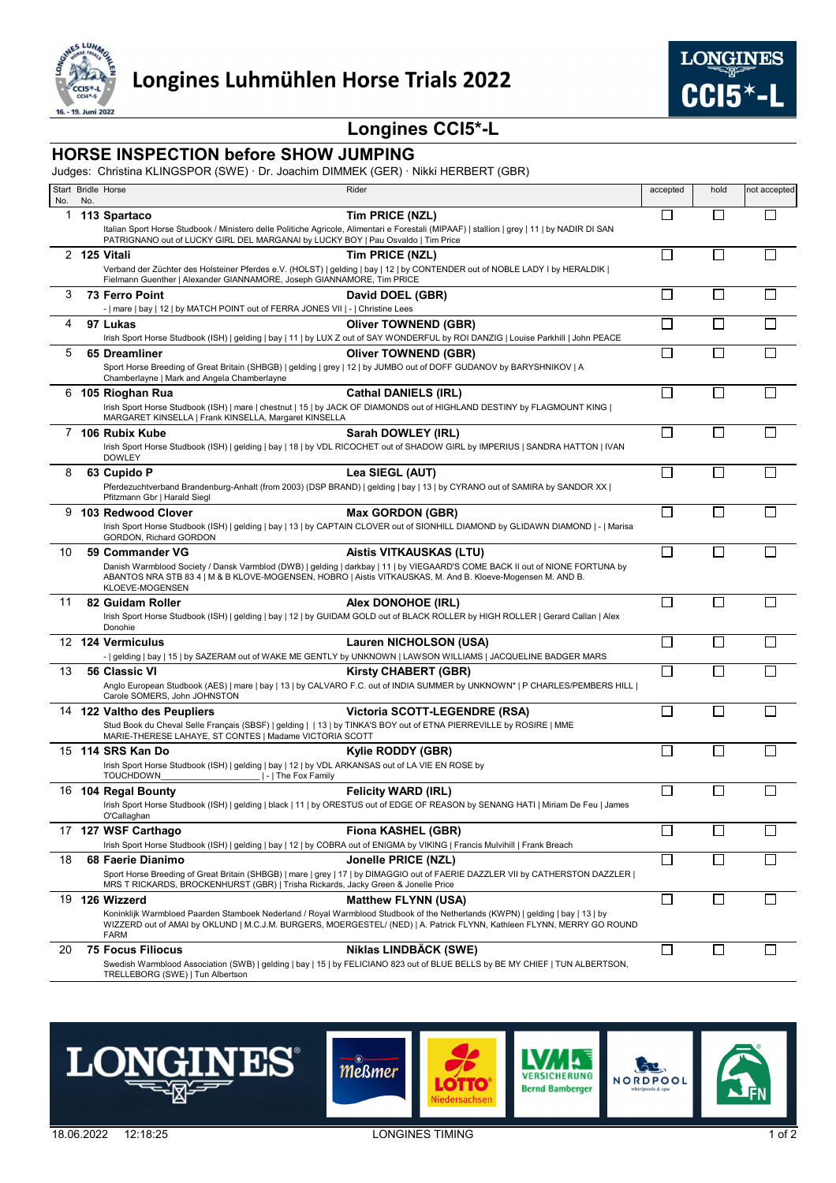



## **Longines CCI5\*-L**

## **HORSE INSPECTION before SHOW JUMPING**

Judges: Christina KLINGSPOR (SWE) · Dr. Joachim DIMMEK (GER) · Nikki HERBERT (GBR)

| No. |     | Start Bridle Horse                                                                                                                                                                                            | Rider                                                                                                                                                                                                                                                                                  | accepted                 | hold           | not accepted             |
|-----|-----|---------------------------------------------------------------------------------------------------------------------------------------------------------------------------------------------------------------|----------------------------------------------------------------------------------------------------------------------------------------------------------------------------------------------------------------------------------------------------------------------------------------|--------------------------|----------------|--------------------------|
| 1   | No. | 113 Spartaco                                                                                                                                                                                                  | Tim PRICE (NZL)                                                                                                                                                                                                                                                                        | П                        | $\Box$         | Г                        |
|     |     | PATRIGNANO out of LUCKY GIRL DEL MARGANAI by LUCKY BOY   Pau Osvaldo   Tim Price                                                                                                                              | Italian Sport Horse Studbook / Ministero delle Politiche Agricole, Alimentari e Forestali (MIPAAF)   stallion   grey   11   by NADIR DI SAN                                                                                                                                            |                          |                |                          |
|     |     | 2 125 Vitali<br>Fielmann Guenther   Alexander GIANNAMORE, Joseph GIANNAMORE, Tim PRICE                                                                                                                        | Tim PRICE (NZL)<br>Verband der Züchter des Holsteiner Pferdes e.V. (HOLST)   gelding   bay   12   by CONTENDER out of NOBLE LADY I by HERALDIK                                                                                                                                         | $\mathbf{I}$             | $\mathbf{L}$   |                          |
| 3   |     | <b>73 Ferro Point</b><br>-   mare   bay   12   by MATCH POINT out of FERRA JONES VII   -   Christine Lees                                                                                                     | David DOEL (GBR)                                                                                                                                                                                                                                                                       | П                        | $\Box$         |                          |
| 4   |     | 97 Lukas                                                                                                                                                                                                      | <b>Oliver TOWNEND (GBR)</b><br>Irish Sport Horse Studbook (ISH)   gelding   bay   11   by LUX Z out of SAY WONDERFUL by ROI DANZIG   Louise Parkhill   John PEACE                                                                                                                      | $\mathbf{I}$             | $\mathbf{L}$   |                          |
| 5   |     | 65 Dreamliner<br>Chamberlayne   Mark and Angela Chamberlayne                                                                                                                                                  | <b>Oliver TOWNEND (GBR)</b><br>Sport Horse Breeding of Great Britain (SHBGB)   gelding   grey   12   by JUMBO out of DOFF GUDANOV by BARYSHNIKOV   A                                                                                                                                   |                          |                |                          |
| 6   |     | 105 Rioghan Rua<br>MARGARET KINSELLA   Frank KINSELLA, Margaret KINSELLA                                                                                                                                      | <b>Cathal DANIELS (IRL)</b><br>Irish Sport Horse Studbook (ISH)   mare   chestnut   15   by JACK OF DIAMONDS out of HIGHLAND DESTINY by FLAGMOUNT KING                                                                                                                                 |                          |                |                          |
| 7   |     | 106 Rubix Kube<br><b>DOWLEY</b>                                                                                                                                                                               | Sarah DOWLEY (IRL)<br>Irish Sport Horse Studbook (ISH)   gelding   bay   18   by VDL RICOCHET out of SHADOW GIRL by IMPERIUS   SANDRA HATTON   IVAN                                                                                                                                    | $\overline{\phantom{a}}$ | $\mathsf{L}$   |                          |
| 8   |     | 63 Cupido P<br>Pfitzmann Gbr   Harald Siegl                                                                                                                                                                   | Lea SIEGL (AUT)<br>Pferdezuchtverband Brandenburg-Anhalt (from 2003) (DSP BRAND)   gelding   bay   13   by CYRANO out of SAMIRA by SANDOR XX                                                                                                                                           | П                        |                |                          |
| 9   |     | 103 Redwood Clover<br>GORDON, Richard GORDON                                                                                                                                                                  | <b>Max GORDON (GBR)</b><br>Irish Sport Horse Studbook (ISH)   gelding   bay   13   by CAPTAIN CLOVER out of SIONHILL DIAMOND by GLIDAWN DIAMOND   -   Marisa                                                                                                                           | П                        |                |                          |
| 10  |     | 59 Commander VG<br>KLOEVE-MOGENSEN                                                                                                                                                                            | Aistis VITKAUSKAS (LTU)<br>Danish Warmblood Society / Dansk Varmblod (DWB)   gelding   darkbay   11   by VIEGAARD'S COME BACK II out of NIONE FORTUNA by<br>ABANTOS NRA STB 83 4   M & B KLOVE-MOGENSEN, HOBRO   Aistis VITKAUSKAS, M. And B. Kloeve-Mogensen M. AND B.                | □                        | П              | $\overline{\phantom{a}}$ |
| 11  |     | 82 Guidam Roller<br>Donohie                                                                                                                                                                                   | Alex DONOHOE (IRL)<br>Irish Sport Horse Studbook (ISH)   gelding   bay   12   by GUIDAM GOLD out of BLACK ROLLER by HIGH ROLLER   Gerard Callan   Alex                                                                                                                                 | П                        | $\Box$         | $\mathsf{L}$             |
|     |     | 12 124 Vermiculus                                                                                                                                                                                             | Lauren NICHOLSON (USA)<br>-   gelding   bay   15   by SAZERAM out of WAKE ME GENTLY by UNKNOWN   LAWSON WILLIAMS   JACQUELINE BADGER MARS                                                                                                                                              |                          |                |                          |
| 13  |     | 56 Classic VI<br>Carole SOMERS, John JOHNSTON                                                                                                                                                                 | <b>Kirsty CHABERT (GBR)</b><br>Anglo European Studbook (AES)   mare   bay   13   by CALVARO F.C. out of INDIA SUMMER by UNKNOWN*   P CHARLES/PEMBERS HILL                                                                                                                              |                          |                |                          |
|     |     | 14 122 Valtho des Peupliers<br>Stud Book du Cheval Selle Français (SBSF)   gelding     13   by TINKA'S BOY out of ETNA PIERREVILLE by ROSIRE   MME<br>MARIE-THERESE LAHAYE, ST CONTES   Madame VICTORIA SCOTT | Victoria SCOTT-LEGENDRE (RSA)                                                                                                                                                                                                                                                          | П                        |                |                          |
|     |     | 15 114 SRS Kan Do<br>Irish Sport Horse Studbook (ISH)   gelding   bay   12   by VDL ARKANSAS out of LA VIE EN ROSE by<br>TOUCHDOWN<br>    -   The Fox Family                                                  | Kylie RODDY (GBR)                                                                                                                                                                                                                                                                      |                          |                |                          |
|     |     | 16 104 Regal Bounty<br>O'Callaghan                                                                                                                                                                            | <b>Felicity WARD (IRL)</b><br>Irish Sport Horse Studbook (ISH)   gelding   black   11   by ORESTUS out of EDGE OF REASON by SENANG HATI   Miriam De Feu   James                                                                                                                        |                          |                |                          |
|     |     | 17 127 WSF Carthago<br>Irish Sport Horse Studbook (ISH)   gelding   bay   12   by COBRA out of ENIGMA by VIKING   Francis Mulvihill   Frank Breach                                                            | Fiona KASHEL (GBR)                                                                                                                                                                                                                                                                     | П                        |                |                          |
| 18  |     | 68 Faerie Dianimo<br>MRS T RICKARDS, BROCKENHURST (GBR)   Trisha Rickards, Jacky Green & Jonelle Price                                                                                                        | Jonelle PRICE (NZL)<br>Sport Horse Breeding of Great Britain (SHBGB)   mare   grey   17   by DIMAGGIO out of FAERIE DAZZLER VII by CATHERSTON DAZZLER                                                                                                                                  | □                        | $\Box$         |                          |
| 19  |     | 126 Wizzerd<br><b>FARM</b>                                                                                                                                                                                    | <b>Matthew FLYNN (USA)</b><br>Koninklijk Warmbloed Paarden Stamboek Nederland / Royal Warmblood Studbook of the Netherlands (KWPN)   gelding   bay   13   by<br>WIZZERD out of AMAI by OKLUND   M.C.J.M. BURGERS, MOERGESTEL/ (NED)   A. Patrick FLYNN, Kathleen FLYNN, MERRY GO ROUND | П                        | $\mathbb{R}^n$ |                          |
| 20  |     | <b>75 Focus Filiocus</b><br>TRELLEBORG (SWE)   Tun Albertson                                                                                                                                                  | Niklas LINDBÄCK (SWE)<br>Swedish Warmblood Association (SWB)   gelding   bay   15   by FELICIANO 823 out of BLUE BELLS by BE MY CHIEF   TUN ALBERTSON,                                                                                                                                 | $\Box$                   | $\Box$         |                          |